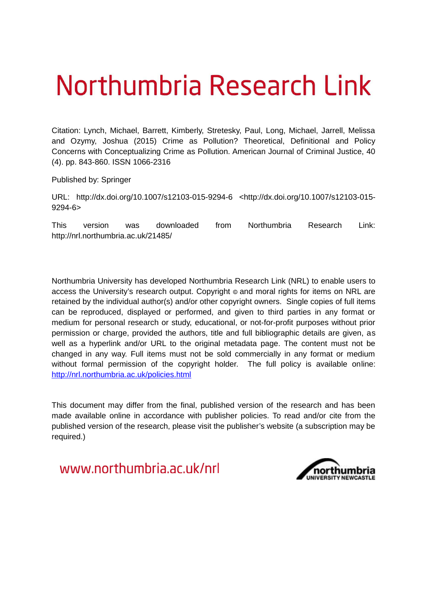# Northumbria Research Link

Citation: Lynch, Michael, Barrett, Kimberly, Stretesky, Paul, Long, Michael, Jarrell, Melissa and Ozymy, Joshua (2015) Crime as Pollution? Theoretical, Definitional and Policy Concerns with Conceptualizing Crime as Pollution. American Journal of Criminal Justice, 40 (4). pp. 843-860. ISSN 1066-2316

Published by: Springer

URL: http://dx.doi.org/10.1007/s12103-015-9294-6 <http://dx.doi.org/10.1007/s12103-015- 9294-6>

This version was downloaded from Northumbria Research Link: http://nrl.northumbria.ac.uk/21485/

Northumbria University has developed Northumbria Research Link (NRL) to enable users to access the University's research output. Copyright  $\circ$  and moral rights for items on NRL are retained by the individual author(s) and/or other copyright owners. Single copies of full items can be reproduced, displayed or performed, and given to third parties in any format or medium for personal research or study, educational, or not-for-profit purposes without prior permission or charge, provided the authors, title and full bibliographic details are given, as well as a hyperlink and/or URL to the original metadata page. The content must not be changed in any way. Full items must not be sold commercially in any format or medium without formal permission of the copyright holder. The full policy is available online: <http://nrl.northumbria.ac.uk/policies.html>

This document may differ from the final, published version of the research and has been made available online in accordance with publisher policies. To read and/or cite from the published version of the research, please visit the publisher's website (a subscription may be required.)

www.northumbria.ac.uk/nrl

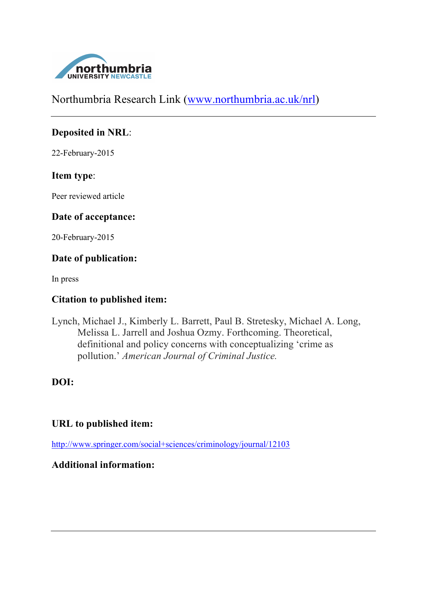

Northumbria Research Link (www.northumbria.ac.uk/nrl)

## **Deposited in NRL**:

22-February-2015

## **Item type**:

Peer reviewed article

## **Date of acceptance:**

20-February-2015

## **Date of publication:**

In press

## **Citation to published item:**

Lynch, Michael J., Kimberly L. Barrett, Paul B. Stretesky, Michael A. Long, Melissa L. Jarrell and Joshua Ozmy. Forthcoming. Theoretical, definitional and policy concerns with conceptualizing 'crime as pollution.' *American Journal of Criminal Justice.*

## **DOI:**

## **URL to published item:**

http://www.springer.com/social+sciences/criminology/journal/12103

## **Additional information:**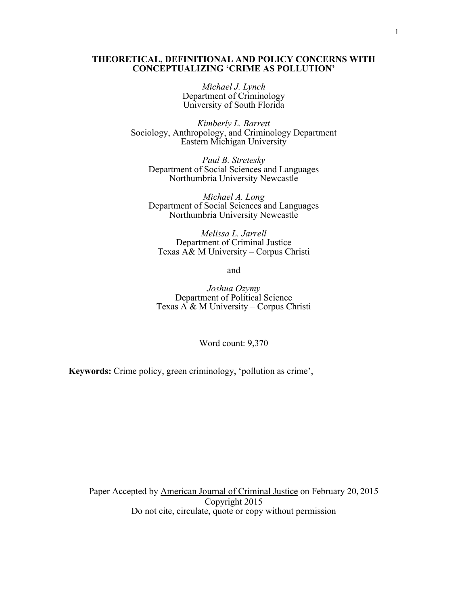#### **THEORETICAL, DEFINITIONAL AND POLICY CONCERNS WITH CONCEPTUALIZING 'CRIME AS POLLUTION'**

*Michael J. Lynch* Department of Criminology University of South Florida

*Kimberly L. Barrett* Sociology, Anthropology, and Criminology Department Eastern Michigan University

*Paul B. Stretesky* Department of Social Sciences and Languages Northumbria University Newcastle

*Michael A. Long* Department of Social Sciences and Languages Northumbria University Newcastle

*Melissa L. Jarrell* Department of Criminal Justice Texas A& M University – Corpus Christi

and

*Joshua Ozymy* Department of Political Science Texas A & M University – Corpus Christi

Word count: 9,370

**Keywords:** Crime policy, green criminology, 'pollution as crime',

Paper Accepted by American Journal of Criminal Justice on February 20, 2015 Copyright 2015 Do not cite, circulate, quote or copy without permission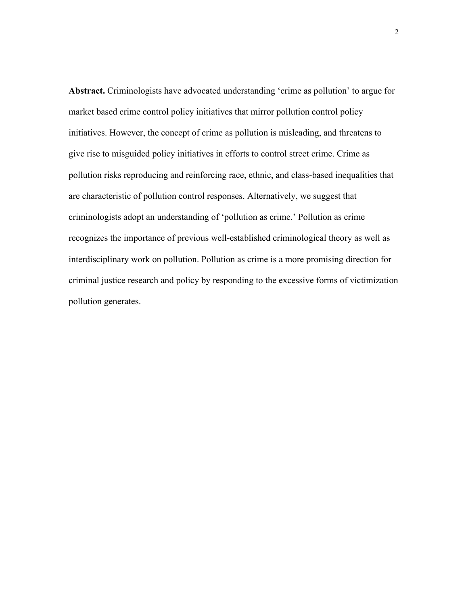**Abstract.** Criminologists have advocated understanding 'crime as pollution' to argue for market based crime control policy initiatives that mirror pollution control policy initiatives. However, the concept of crime as pollution is misleading, and threatens to give rise to misguided policy initiatives in efforts to control street crime. Crime as pollution risks reproducing and reinforcing race, ethnic, and class-based inequalities that are characteristic of pollution control responses. Alternatively, we suggest that criminologists adopt an understanding of 'pollution as crime.' Pollution as crime recognizes the importance of previous well-established criminological theory as well as interdisciplinary work on pollution. Pollution as crime is a more promising direction for criminal justice research and policy by responding to the excessive forms of victimization pollution generates.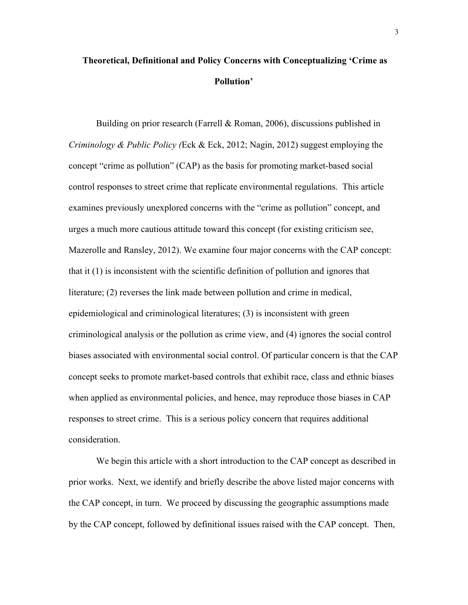## **Theoretical, Definitional and Policy Concerns with Conceptualizing 'Crime as Pollution'**

Building on prior research (Farrell & Roman, 2006), discussions published in *Criminology & Public Policy (*Eck & Eck, 2012; Nagin, 2012) suggest employing the concept "crime as pollution" (CAP) as the basis for promoting market-based social control responses to street crime that replicate environmental regulations. This article examines previously unexplored concerns with the "crime as pollution" concept, and urges a much more cautious attitude toward this concept (for existing criticism see, Mazerolle and Ransley, 2012). We examine four major concerns with the CAP concept: that it (1) is inconsistent with the scientific definition of pollution and ignores that literature; (2) reverses the link made between pollution and crime in medical, epidemiological and criminological literatures; (3) is inconsistent with green criminological analysis or the pollution as crime view, and (4) ignores the social control biases associated with environmental social control. Of particular concern is that the CAP concept seeks to promote market-based controls that exhibit race, class and ethnic biases when applied as environmental policies, and hence, may reproduce those biases in CAP responses to street crime. This is a serious policy concern that requires additional consideration.

We begin this article with a short introduction to the CAP concept as described in prior works. Next, we identify and briefly describe the above listed major concerns with the CAP concept, in turn. We proceed by discussing the geographic assumptions made by the CAP concept, followed by definitional issues raised with the CAP concept. Then,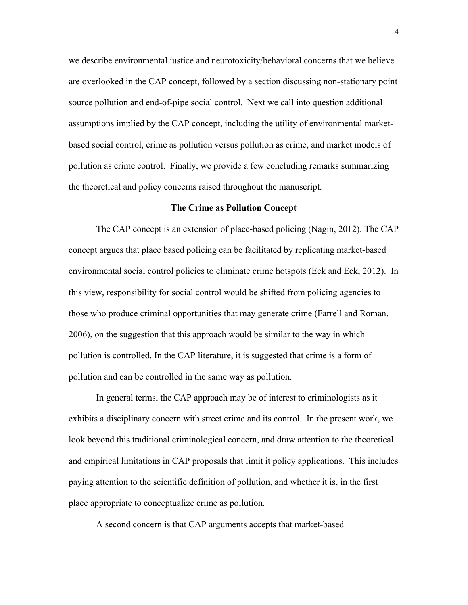we describe environmental justice and neurotoxicity/behavioral concerns that we believe are overlooked in the CAP concept, followed by a section discussing non-stationary point source pollution and end-of-pipe social control. Next we call into question additional assumptions implied by the CAP concept, including the utility of environmental marketbased social control, crime as pollution versus pollution as crime, and market models of pollution as crime control. Finally, we provide a few concluding remarks summarizing the theoretical and policy concerns raised throughout the manuscript.

#### **The Crime as Pollution Concept**

The CAP concept is an extension of place-based policing (Nagin, 2012). The CAP concept argues that place based policing can be facilitated by replicating market-based environmental social control policies to eliminate crime hotspots (Eck and Eck, 2012). In this view, responsibility for social control would be shifted from policing agencies to those who produce criminal opportunities that may generate crime (Farrell and Roman, 2006), on the suggestion that this approach would be similar to the way in which pollution is controlled. In the CAP literature, it is suggested that crime is a form of pollution and can be controlled in the same way as pollution.

In general terms, the CAP approach may be of interest to criminologists as it exhibits a disciplinary concern with street crime and its control. In the present work, we look beyond this traditional criminological concern, and draw attention to the theoretical and empirical limitations in CAP proposals that limit it policy applications. This includes paying attention to the scientific definition of pollution, and whether it is, in the first place appropriate to conceptualize crime as pollution.

A second concern is that CAP arguments accepts that market-based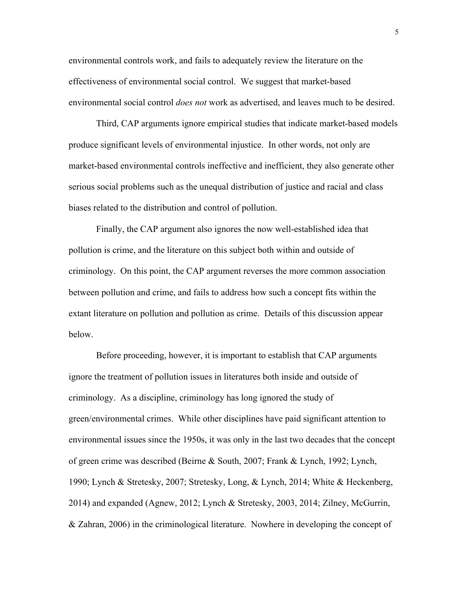environmental controls work, and fails to adequately review the literature on the effectiveness of environmental social control. We suggest that market-based environmental social control *does not* work as advertised, and leaves much to be desired.

Third, CAP arguments ignore empirical studies that indicate market-based models produce significant levels of environmental injustice. In other words, not only are market-based environmental controls ineffective and inefficient, they also generate other serious social problems such as the unequal distribution of justice and racial and class biases related to the distribution and control of pollution.

Finally, the CAP argument also ignores the now well-established idea that pollution is crime, and the literature on this subject both within and outside of criminology. On this point, the CAP argument reverses the more common association between pollution and crime, and fails to address how such a concept fits within the extant literature on pollution and pollution as crime. Details of this discussion appear below.

Before proceeding, however, it is important to establish that CAP arguments ignore the treatment of pollution issues in literatures both inside and outside of criminology. As a discipline, criminology has long ignored the study of green/environmental crimes. While other disciplines have paid significant attention to environmental issues since the 1950s, it was only in the last two decades that the concept of green crime was described (Beirne & South, 2007; Frank & Lynch, 1992; Lynch, 1990; Lynch & Stretesky, 2007; Stretesky, Long, & Lynch, 2014; White & Heckenberg, 2014) and expanded (Agnew, 2012; Lynch & Stretesky, 2003, 2014; Zilney, McGurrin, & Zahran, 2006) in the criminological literature. Nowhere in developing the concept of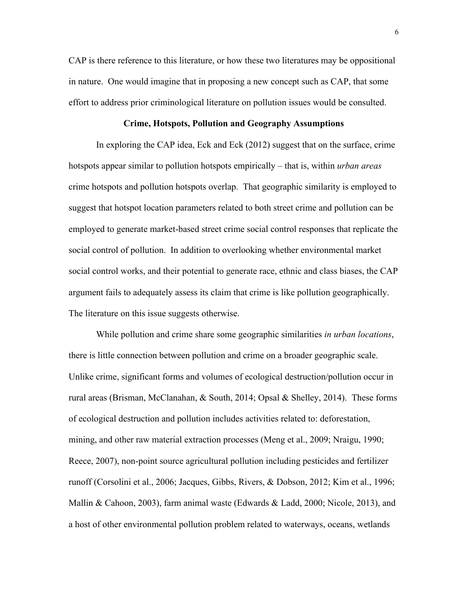CAP is there reference to this literature, or how these two literatures may be oppositional in nature. One would imagine that in proposing a new concept such as CAP, that some effort to address prior criminological literature on pollution issues would be consulted.

#### **Crime, Hotspots, Pollution and Geography Assumptions**

In exploring the CAP idea, Eck and Eck (2012) suggest that on the surface, crime hotspots appear similar to pollution hotspots empirically – that is, within *urban areas* crime hotspots and pollution hotspots overlap. That geographic similarity is employed to suggest that hotspot location parameters related to both street crime and pollution can be employed to generate market-based street crime social control responses that replicate the social control of pollution. In addition to overlooking whether environmental market social control works, and their potential to generate race, ethnic and class biases, the CAP argument fails to adequately assess its claim that crime is like pollution geographically. The literature on this issue suggests otherwise.

While pollution and crime share some geographic similarities *in urban locations*, there is little connection between pollution and crime on a broader geographic scale. Unlike crime, significant forms and volumes of ecological destruction/pollution occur in rural areas (Brisman, McClanahan, & South, 2014; Opsal & Shelley, 2014). These forms of ecological destruction and pollution includes activities related to: deforestation, mining, and other raw material extraction processes (Meng et al., 2009; Nraigu, 1990; Reece, 2007), non-point source agricultural pollution including pesticides and fertilizer runoff (Corsolini et al., 2006; Jacques, Gibbs, Rivers, & Dobson, 2012; Kim et al., 1996; Mallin & Cahoon, 2003), farm animal waste (Edwards & Ladd, 2000; Nicole, 2013), and a host of other environmental pollution problem related to waterways, oceans, wetlands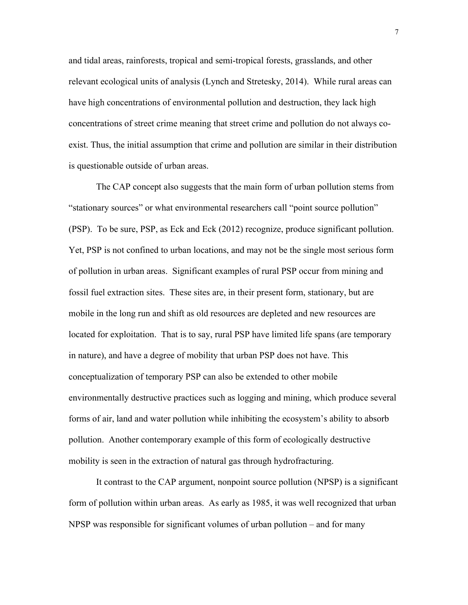and tidal areas, rainforests, tropical and semi-tropical forests, grasslands, and other relevant ecological units of analysis (Lynch and Stretesky, 2014). While rural areas can have high concentrations of environmental pollution and destruction, they lack high concentrations of street crime meaning that street crime and pollution do not always coexist. Thus, the initial assumption that crime and pollution are similar in their distribution is questionable outside of urban areas.

The CAP concept also suggests that the main form of urban pollution stems from "stationary sources" or what environmental researchers call "point source pollution" (PSP). To be sure, PSP, as Eck and Eck (2012) recognize, produce significant pollution. Yet, PSP is not confined to urban locations, and may not be the single most serious form of pollution in urban areas. Significant examples of rural PSP occur from mining and fossil fuel extraction sites. These sites are, in their present form, stationary, but are mobile in the long run and shift as old resources are depleted and new resources are located for exploitation. That is to say, rural PSP have limited life spans (are temporary in nature), and have a degree of mobility that urban PSP does not have. This conceptualization of temporary PSP can also be extended to other mobile environmentally destructive practices such as logging and mining, which produce several forms of air, land and water pollution while inhibiting the ecosystem's ability to absorb pollution. Another contemporary example of this form of ecologically destructive mobility is seen in the extraction of natural gas through hydrofracturing.

It contrast to the CAP argument, nonpoint source pollution (NPSP) is a significant form of pollution within urban areas. As early as 1985, it was well recognized that urban NPSP was responsible for significant volumes of urban pollution – and for many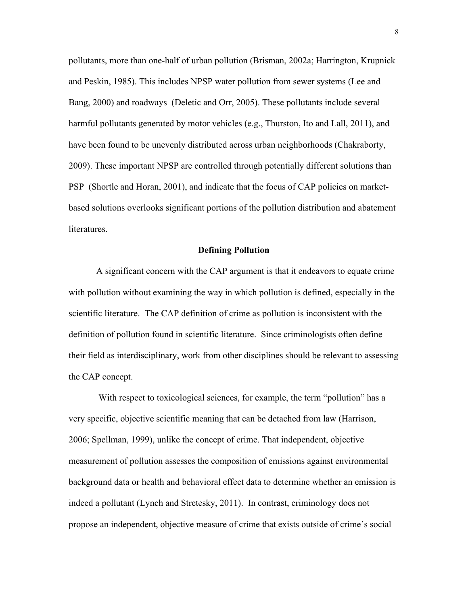pollutants, more than one-half of urban pollution (Brisman, 2002a; Harrington, Krupnick and Peskin, 1985). This includes NPSP water pollution from sewer systems (Lee and Bang, 2000) and roadways (Deletic and Orr, 2005). These pollutants include several harmful pollutants generated by motor vehicles (e.g., Thurston, Ito and Lall, 2011), and have been found to be unevenly distributed across urban neighborhoods (Chakraborty, 2009). These important NPSP are controlled through potentially different solutions than PSP (Shortle and Horan, 2001), and indicate that the focus of CAP policies on marketbased solutions overlooks significant portions of the pollution distribution and abatement literatures.

#### **Defining Pollution**

A significant concern with the CAP argument is that it endeavors to equate crime with pollution without examining the way in which pollution is defined, especially in the scientific literature. The CAP definition of crime as pollution is inconsistent with the definition of pollution found in scientific literature. Since criminologists often define their field as interdisciplinary, work from other disciplines should be relevant to assessing the CAP concept.

With respect to toxicological sciences, for example, the term "pollution" has a very specific, objective scientific meaning that can be detached from law (Harrison, 2006; Spellman, 1999), unlike the concept of crime. That independent, objective measurement of pollution assesses the composition of emissions against environmental background data or health and behavioral effect data to determine whether an emission is indeed a pollutant (Lynch and Stretesky, 2011). In contrast, criminology does not propose an independent, objective measure of crime that exists outside of crime's social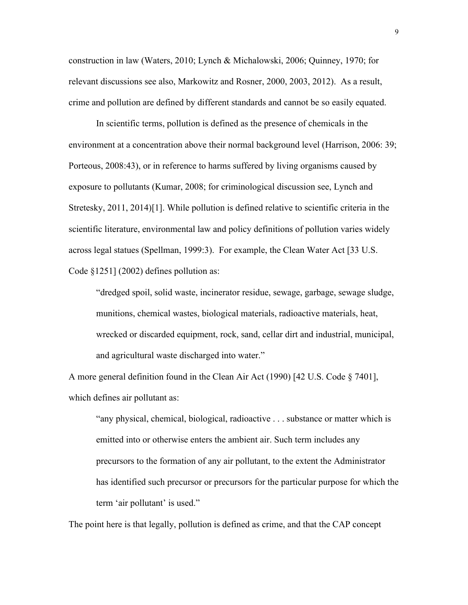construction in law (Waters, 2010; Lynch & Michalowski, 2006; Quinney, 1970; for relevant discussions see also, Markowitz and Rosner, 2000, 2003, 2012). As a result, crime and pollution are defined by different standards and cannot be so easily equated.

In scientific terms, pollution is defined as the presence of chemicals in the environment at a concentration above their normal background level (Harrison, 2006: 39; Porteous, 2008:43), or in reference to harms suffered by living organisms caused by exposure to pollutants (Kumar, 2008; for criminological discussion see, Lynch and Stretesky, 2011, 2014)[1]. While pollution is defined relative to scientific criteria in the scientific literature, environmental law and policy definitions of pollution varies widely across legal statues (Spellman, 1999:3). For example, the Clean Water Act [33 U.S. Code §1251] (2002) defines pollution as:

"dredged spoil, solid waste, incinerator residue, sewage, garbage, sewage sludge, munitions, chemical wastes, biological materials, radioactive materials, heat, wrecked or discarded equipment, rock, sand, cellar dirt and industrial, municipal, and agricultural waste discharged into water."

A more general definition found in the Clean Air Act (1990) [42 U.S. Code § 7401], which defines air pollutant as:

"any physical, chemical, biological, radioactive . . . substance or matter which is emitted into or otherwise enters the ambient air. Such term includes any precursors to the formation of any air pollutant, to the extent the Administrator has identified such precursor or precursors for the particular purpose for which the term 'air pollutant' is used."

The point here is that legally, pollution is defined as crime, and that the CAP concept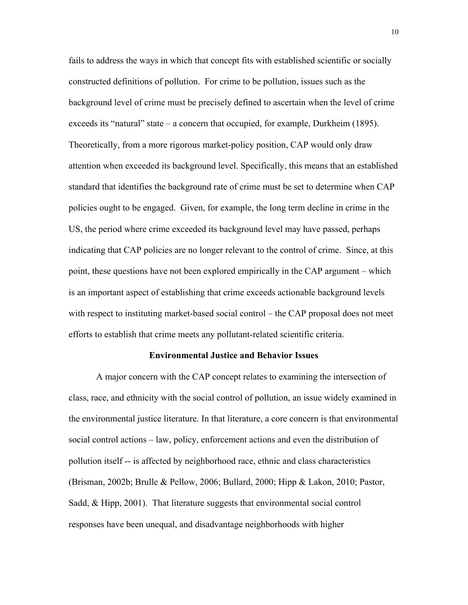fails to address the ways in which that concept fits with established scientific or socially constructed definitions of pollution. For crime to be pollution, issues such as the background level of crime must be precisely defined to ascertain when the level of crime exceeds its "natural" state – a concern that occupied, for example, Durkheim (1895). Theoretically, from a more rigorous market-policy position, CAP would only draw attention when exceeded its background level. Specifically, this means that an established standard that identifies the background rate of crime must be set to determine when CAP policies ought to be engaged. Given, for example, the long term decline in crime in the US, the period where crime exceeded its background level may have passed, perhaps indicating that CAP policies are no longer relevant to the control of crime. Since, at this point, these questions have not been explored empirically in the CAP argument – which is an important aspect of establishing that crime exceeds actionable background levels with respect to instituting market-based social control – the CAP proposal does not meet efforts to establish that crime meets any pollutant-related scientific criteria.

#### **Environmental Justice and Behavior Issues**

A major concern with the CAP concept relates to examining the intersection of class, race, and ethnicity with the social control of pollution, an issue widely examined in the environmental justice literature. In that literature, a core concern is that environmental social control actions – law, policy, enforcement actions and even the distribution of pollution itself -- is affected by neighborhood race, ethnic and class characteristics (Brisman, 2002b; Brulle & Pellow, 2006; Bullard, 2000; Hipp & Lakon, 2010; Pastor, Sadd, & Hipp, 2001). That literature suggests that environmental social control responses have been unequal, and disadvantage neighborhoods with higher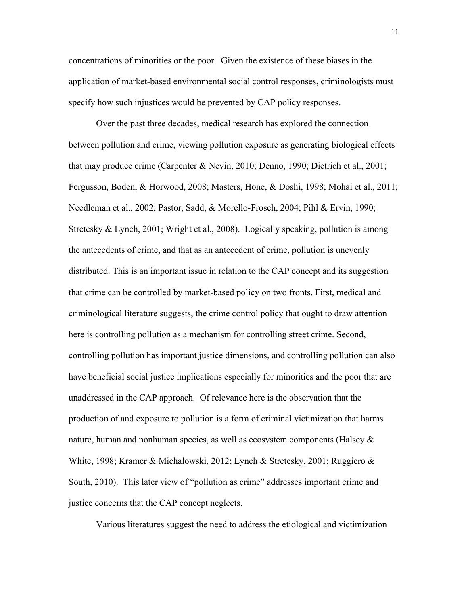concentrations of minorities or the poor. Given the existence of these biases in the application of market-based environmental social control responses, criminologists must specify how such injustices would be prevented by CAP policy responses.

Over the past three decades, medical research has explored the connection between pollution and crime, viewing pollution exposure as generating biological effects that may produce crime (Carpenter & Nevin, 2010; Denno, 1990; Dietrich et al., 2001; Fergusson, Boden, & Horwood, 2008; Masters, Hone, & Doshi, 1998; Mohai et al., 2011; Needleman et al., 2002; Pastor, Sadd, & Morello-Frosch, 2004; Pihl & Ervin, 1990; Stretesky & Lynch, 2001; Wright et al., 2008). Logically speaking, pollution is among the antecedents of crime, and that as an antecedent of crime, pollution is unevenly distributed. This is an important issue in relation to the CAP concept and its suggestion that crime can be controlled by market-based policy on two fronts. First, medical and criminological literature suggests, the crime control policy that ought to draw attention here is controlling pollution as a mechanism for controlling street crime. Second, controlling pollution has important justice dimensions, and controlling pollution can also have beneficial social justice implications especially for minorities and the poor that are unaddressed in the CAP approach. Of relevance here is the observation that the production of and exposure to pollution is a form of criminal victimization that harms nature, human and nonhuman species, as well as ecosystem components (Halsey  $\&$ White, 1998; Kramer & Michalowski, 2012; Lynch & Stretesky, 2001; Ruggiero & South, 2010). This later view of "pollution as crime" addresses important crime and justice concerns that the CAP concept neglects.

Various literatures suggest the need to address the etiological and victimization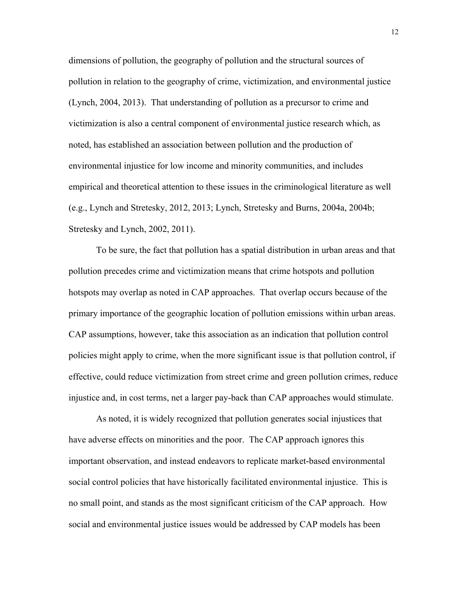dimensions of pollution, the geography of pollution and the structural sources of pollution in relation to the geography of crime, victimization, and environmental justice (Lynch, 2004, 2013). That understanding of pollution as a precursor to crime and victimization is also a central component of environmental justice research which, as noted, has established an association between pollution and the production of environmental injustice for low income and minority communities, and includes empirical and theoretical attention to these issues in the criminological literature as well (e.g., Lynch and Stretesky, 2012, 2013; Lynch, Stretesky and Burns, 2004a, 2004b; Stretesky and Lynch, 2002, 2011).

To be sure, the fact that pollution has a spatial distribution in urban areas and that pollution precedes crime and victimization means that crime hotspots and pollution hotspots may overlap as noted in CAP approaches. That overlap occurs because of the primary importance of the geographic location of pollution emissions within urban areas. CAP assumptions, however, take this association as an indication that pollution control policies might apply to crime, when the more significant issue is that pollution control, if effective, could reduce victimization from street crime and green pollution crimes, reduce injustice and, in cost terms, net a larger pay-back than CAP approaches would stimulate.

As noted, it is widely recognized that pollution generates social injustices that have adverse effects on minorities and the poor. The CAP approach ignores this important observation, and instead endeavors to replicate market-based environmental social control policies that have historically facilitated environmental injustice. This is no small point, and stands as the most significant criticism of the CAP approach. How social and environmental justice issues would be addressed by CAP models has been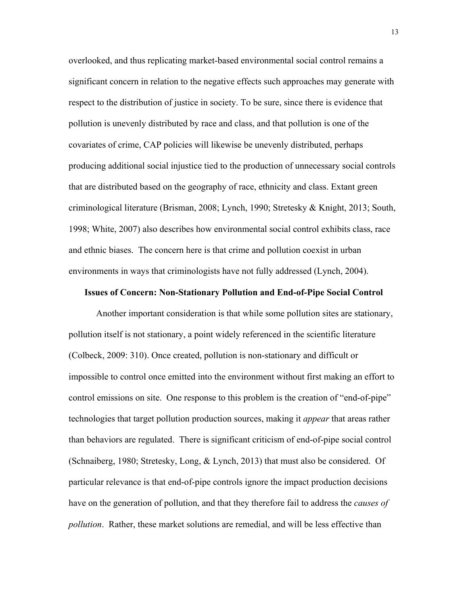overlooked, and thus replicating market-based environmental social control remains a significant concern in relation to the negative effects such approaches may generate with respect to the distribution of justice in society. To be sure, since there is evidence that pollution is unevenly distributed by race and class, and that pollution is one of the covariates of crime, CAP policies will likewise be unevenly distributed, perhaps producing additional social injustice tied to the production of unnecessary social controls that are distributed based on the geography of race, ethnicity and class. Extant green criminological literature (Brisman, 2008; Lynch, 1990; Stretesky & Knight, 2013; South, 1998; White, 2007) also describes how environmental social control exhibits class, race and ethnic biases. The concern here is that crime and pollution coexist in urban environments in ways that criminologists have not fully addressed (Lynch, 2004).

#### **Issues of Concern: Non-Stationary Pollution and End-of-Pipe Social Control**

Another important consideration is that while some pollution sites are stationary, pollution itself is not stationary, a point widely referenced in the scientific literature (Colbeck, 2009: 310). Once created, pollution is non-stationary and difficult or impossible to control once emitted into the environment without first making an effort to control emissions on site. One response to this problem is the creation of "end-of-pipe" technologies that target pollution production sources, making it *appear* that areas rather than behaviors are regulated. There is significant criticism of end-of-pipe social control (Schnaiberg, 1980; Stretesky, Long, & Lynch, 2013) that must also be considered. Of particular relevance is that end-of-pipe controls ignore the impact production decisions have on the generation of pollution, and that they therefore fail to address the *causes of pollution*. Rather, these market solutions are remedial, and will be less effective than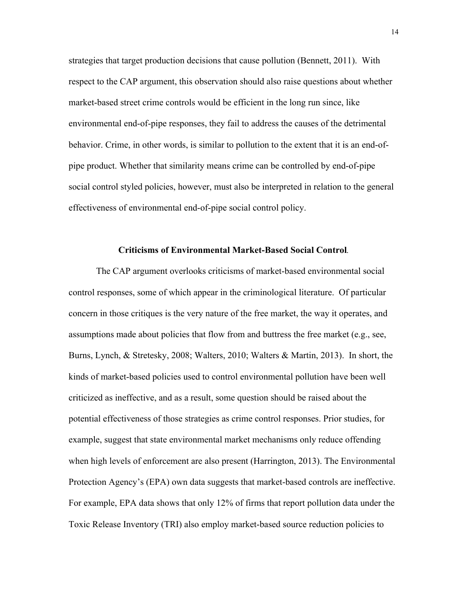strategies that target production decisions that cause pollution (Bennett, 2011). With respect to the CAP argument, this observation should also raise questions about whether market-based street crime controls would be efficient in the long run since, like environmental end-of-pipe responses, they fail to address the causes of the detrimental behavior. Crime, in other words, is similar to pollution to the extent that it is an end-ofpipe product. Whether that similarity means crime can be controlled by end-of-pipe social control styled policies, however, must also be interpreted in relation to the general effectiveness of environmental end-of-pipe social control policy.

#### **Criticisms of Environmental Market-Based Social Control***.*

The CAP argument overlooks criticisms of market-based environmental social control responses, some of which appear in the criminological literature. Of particular concern in those critiques is the very nature of the free market, the way it operates, and assumptions made about policies that flow from and buttress the free market (e.g., see, Burns, Lynch, & Stretesky, 2008; Walters, 2010; Walters & Martin, 2013). In short, the kinds of market-based policies used to control environmental pollution have been well criticized as ineffective, and as a result, some question should be raised about the potential effectiveness of those strategies as crime control responses. Prior studies, for example, suggest that state environmental market mechanisms only reduce offending when high levels of enforcement are also present (Harrington, 2013). The Environmental Protection Agency's (EPA) own data suggests that market-based controls are ineffective. For example, EPA data shows that only 12% of firms that report pollution data under the Toxic Release Inventory (TRI) also employ market-based source reduction policies to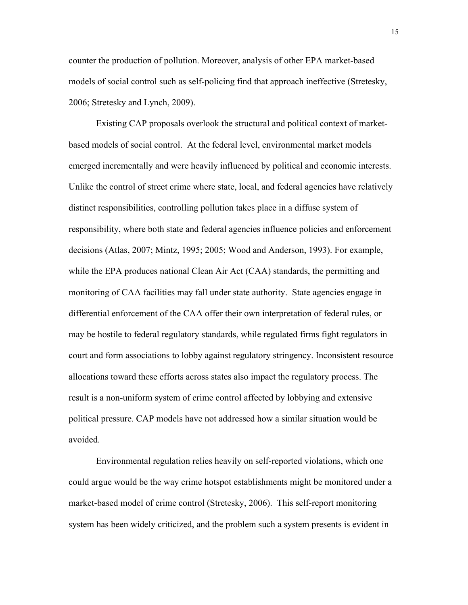counter the production of pollution. Moreover, analysis of other EPA market-based models of social control such as self-policing find that approach ineffective (Stretesky, 2006; Stretesky and Lynch, 2009).

Existing CAP proposals overlook the structural and political context of marketbased models of social control. At the federal level, environmental market models emerged incrementally and were heavily influenced by political and economic interests. Unlike the control of street crime where state, local, and federal agencies have relatively distinct responsibilities, controlling pollution takes place in a diffuse system of responsibility, where both state and federal agencies influence policies and enforcement decisions (Atlas, 2007; Mintz, 1995; 2005; Wood and Anderson, 1993). For example, while the EPA produces national Clean Air Act (CAA) standards, the permitting and monitoring of CAA facilities may fall under state authority. State agencies engage in differential enforcement of the CAA offer their own interpretation of federal rules, or may be hostile to federal regulatory standards, while regulated firms fight regulators in court and form associations to lobby against regulatory stringency. Inconsistent resource allocations toward these efforts across states also impact the regulatory process. The result is a non-uniform system of crime control affected by lobbying and extensive political pressure. CAP models have not addressed how a similar situation would be avoided.

Environmental regulation relies heavily on self-reported violations, which one could argue would be the way crime hotspot establishments might be monitored under a market-based model of crime control (Stretesky, 2006). This self-report monitoring system has been widely criticized, and the problem such a system presents is evident in

15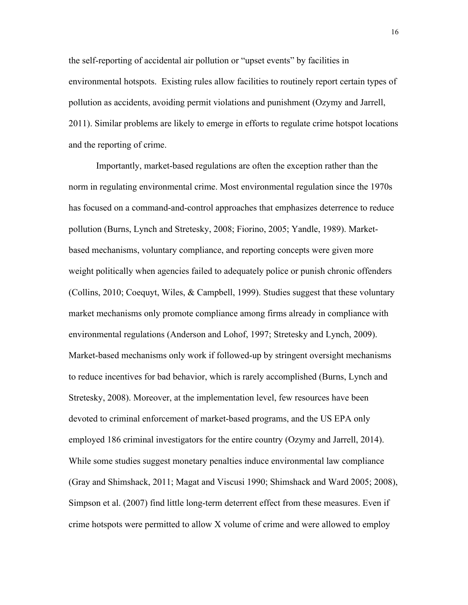the self-reporting of accidental air pollution or "upset events" by facilities in environmental hotspots. Existing rules allow facilities to routinely report certain types of pollution as accidents, avoiding permit violations and punishment (Ozymy and Jarrell, 2011). Similar problems are likely to emerge in efforts to regulate crime hotspot locations and the reporting of crime.

Importantly, market-based regulations are often the exception rather than the norm in regulating environmental crime. Most environmental regulation since the 1970s has focused on a command-and-control approaches that emphasizes deterrence to reduce pollution (Burns, Lynch and Stretesky, 2008; Fiorino, 2005; Yandle, 1989). Marketbased mechanisms, voluntary compliance, and reporting concepts were given more weight politically when agencies failed to adequately police or punish chronic offenders (Collins, 2010; Coequyt, Wiles, & Campbell, 1999). Studies suggest that these voluntary market mechanisms only promote compliance among firms already in compliance with environmental regulations (Anderson and Lohof, 1997; Stretesky and Lynch, 2009). Market-based mechanisms only work if followed-up by stringent oversight mechanisms to reduce incentives for bad behavior, which is rarely accomplished (Burns, Lynch and Stretesky, 2008). Moreover, at the implementation level, few resources have been devoted to criminal enforcement of market-based programs, and the US EPA only employed 186 criminal investigators for the entire country (Ozymy and Jarrell, 2014). While some studies suggest monetary penalties induce environmental law compliance (Gray and Shimshack, 2011; Magat and Viscusi 1990; Shimshack and Ward 2005; 2008), Simpson et al. (2007) find little long-term deterrent effect from these measures. Even if crime hotspots were permitted to allow X volume of crime and were allowed to employ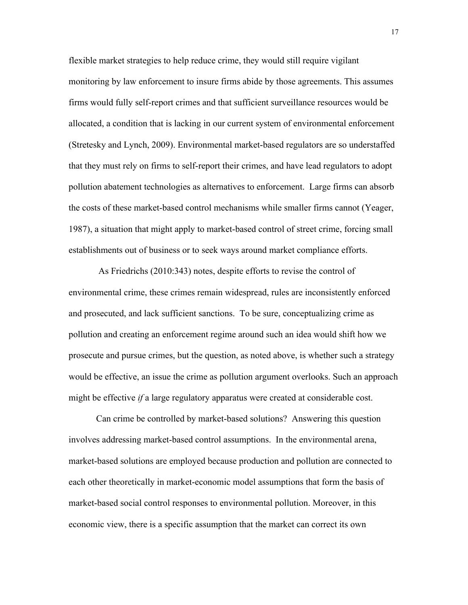flexible market strategies to help reduce crime, they would still require vigilant monitoring by law enforcement to insure firms abide by those agreements. This assumes firms would fully self-report crimes and that sufficient surveillance resources would be allocated, a condition that is lacking in our current system of environmental enforcement (Stretesky and Lynch, 2009). Environmental market-based regulators are so understaffed that they must rely on firms to self-report their crimes, and have lead regulators to adopt pollution abatement technologies as alternatives to enforcement. Large firms can absorb the costs of these market-based control mechanisms while smaller firms cannot (Yeager, 1987), a situation that might apply to market-based control of street crime, forcing small establishments out of business or to seek ways around market compliance efforts.

As Friedrichs (2010:343) notes, despite efforts to revise the control of environmental crime, these crimes remain widespread, rules are inconsistently enforced and prosecuted, and lack sufficient sanctions. To be sure, conceptualizing crime as pollution and creating an enforcement regime around such an idea would shift how we prosecute and pursue crimes, but the question, as noted above, is whether such a strategy would be effective, an issue the crime as pollution argument overlooks. Such an approach might be effective *if* a large regulatory apparatus were created at considerable cost.

Can crime be controlled by market-based solutions? Answering this question involves addressing market-based control assumptions. In the environmental arena, market-based solutions are employed because production and pollution are connected to each other theoretically in market-economic model assumptions that form the basis of market-based social control responses to environmental pollution. Moreover, in this economic view, there is a specific assumption that the market can correct its own

17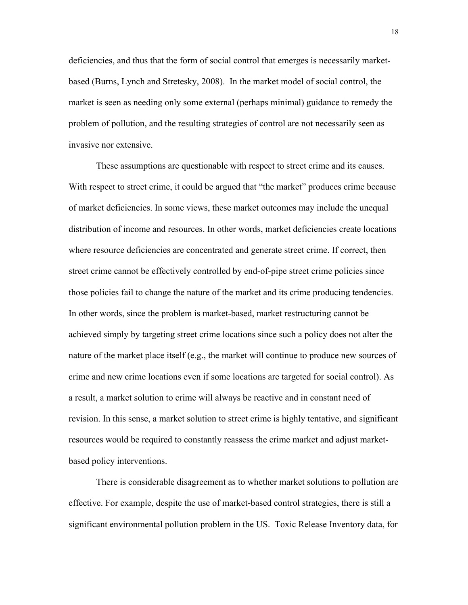deficiencies, and thus that the form of social control that emerges is necessarily marketbased (Burns, Lynch and Stretesky, 2008). In the market model of social control, the market is seen as needing only some external (perhaps minimal) guidance to remedy the problem of pollution, and the resulting strategies of control are not necessarily seen as invasive nor extensive.

These assumptions are questionable with respect to street crime and its causes. With respect to street crime, it could be argued that "the market" produces crime because of market deficiencies. In some views, these market outcomes may include the unequal distribution of income and resources. In other words, market deficiencies create locations where resource deficiencies are concentrated and generate street crime. If correct, then street crime cannot be effectively controlled by end-of-pipe street crime policies since those policies fail to change the nature of the market and its crime producing tendencies. In other words, since the problem is market-based, market restructuring cannot be achieved simply by targeting street crime locations since such a policy does not alter the nature of the market place itself (e.g., the market will continue to produce new sources of crime and new crime locations even if some locations are targeted for social control). As a result, a market solution to crime will always be reactive and in constant need of revision. In this sense, a market solution to street crime is highly tentative, and significant resources would be required to constantly reassess the crime market and adjust marketbased policy interventions.

There is considerable disagreement as to whether market solutions to pollution are effective. For example, despite the use of market-based control strategies, there is still a significant environmental pollution problem in the US. Toxic Release Inventory data, for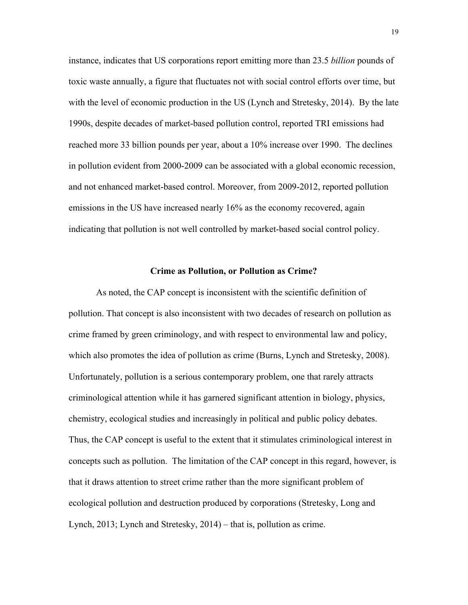instance, indicates that US corporations report emitting more than 23.5 *billion* pounds of toxic waste annually, a figure that fluctuates not with social control efforts over time, but with the level of economic production in the US (Lynch and Stretesky, 2014). By the late 1990s, despite decades of market-based pollution control, reported TRI emissions had reached more 33 billion pounds per year, about a 10% increase over 1990. The declines in pollution evident from 2000-2009 can be associated with a global economic recession, and not enhanced market-based control. Moreover, from 2009-2012, reported pollution emissions in the US have increased nearly 16% as the economy recovered, again indicating that pollution is not well controlled by market-based social control policy.

#### **Crime as Pollution, or Pollution as Crime?**

As noted, the CAP concept is inconsistent with the scientific definition of pollution. That concept is also inconsistent with two decades of research on pollution as crime framed by green criminology, and with respect to environmental law and policy, which also promotes the idea of pollution as crime (Burns, Lynch and Stretesky, 2008). Unfortunately, pollution is a serious contemporary problem, one that rarely attracts criminological attention while it has garnered significant attention in biology, physics, chemistry, ecological studies and increasingly in political and public policy debates. Thus, the CAP concept is useful to the extent that it stimulates criminological interest in concepts such as pollution. The limitation of the CAP concept in this regard, however, is that it draws attention to street crime rather than the more significant problem of ecological pollution and destruction produced by corporations (Stretesky, Long and Lynch, 2013; Lynch and Stretesky, 2014) – that is, pollution as crime.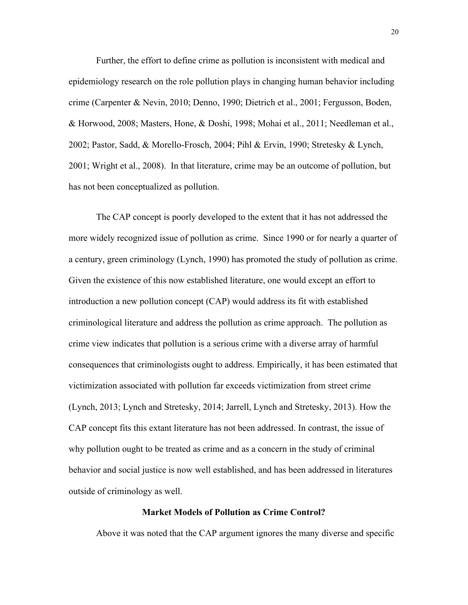Further, the effort to define crime as pollution is inconsistent with medical and epidemiology research on the role pollution plays in changing human behavior including crime (Carpenter & Nevin, 2010; Denno, 1990; Dietrich et al., 2001; Fergusson, Boden, & Horwood, 2008; Masters, Hone, & Doshi, 1998; Mohai et al., 2011; Needleman et al., 2002; Pastor, Sadd, & Morello-Frosch, 2004; Pihl & Ervin, 1990; Stretesky & Lynch, 2001; Wright et al., 2008). In that literature, crime may be an outcome of pollution, but has not been conceptualized as pollution.

The CAP concept is poorly developed to the extent that it has not addressed the more widely recognized issue of pollution as crime. Since 1990 or for nearly a quarter of a century, green criminology (Lynch, 1990) has promoted the study of pollution as crime. Given the existence of this now established literature, one would except an effort to introduction a new pollution concept (CAP) would address its fit with established criminological literature and address the pollution as crime approach. The pollution as crime view indicates that pollution is a serious crime with a diverse array of harmful consequences that criminologists ought to address. Empirically, it has been estimated that victimization associated with pollution far exceeds victimization from street crime (Lynch, 2013; Lynch and Stretesky, 2014; Jarrell, Lynch and Stretesky, 2013). How the CAP concept fits this extant literature has not been addressed. In contrast, the issue of why pollution ought to be treated as crime and as a concern in the study of criminal behavior and social justice is now well established, and has been addressed in literatures outside of criminology as well.

#### **Market Models of Pollution as Crime Control?**

Above it was noted that the CAP argument ignores the many diverse and specific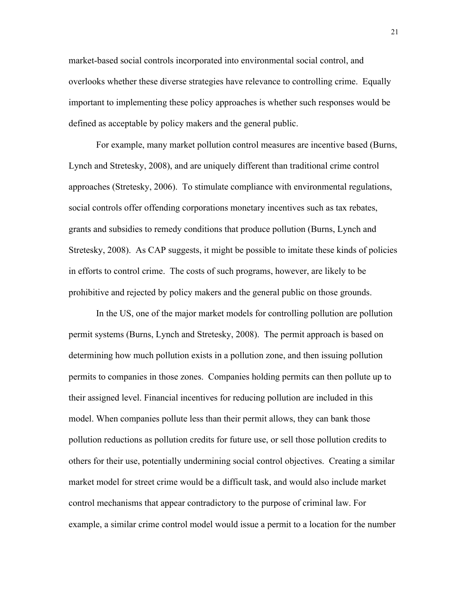market-based social controls incorporated into environmental social control, and overlooks whether these diverse strategies have relevance to controlling crime. Equally important to implementing these policy approaches is whether such responses would be defined as acceptable by policy makers and the general public.

For example, many market pollution control measures are incentive based (Burns, Lynch and Stretesky, 2008), and are uniquely different than traditional crime control approaches (Stretesky, 2006). To stimulate compliance with environmental regulations, social controls offer offending corporations monetary incentives such as tax rebates, grants and subsidies to remedy conditions that produce pollution (Burns, Lynch and Stretesky, 2008). As CAP suggests, it might be possible to imitate these kinds of policies in efforts to control crime. The costs of such programs, however, are likely to be prohibitive and rejected by policy makers and the general public on those grounds.

In the US, one of the major market models for controlling pollution are pollution permit systems (Burns, Lynch and Stretesky, 2008). The permit approach is based on determining how much pollution exists in a pollution zone, and then issuing pollution permits to companies in those zones. Companies holding permits can then pollute up to their assigned level. Financial incentives for reducing pollution are included in this model. When companies pollute less than their permit allows, they can bank those pollution reductions as pollution credits for future use, or sell those pollution credits to others for their use, potentially undermining social control objectives. Creating a similar market model for street crime would be a difficult task, and would also include market control mechanisms that appear contradictory to the purpose of criminal law. For example, a similar crime control model would issue a permit to a location for the number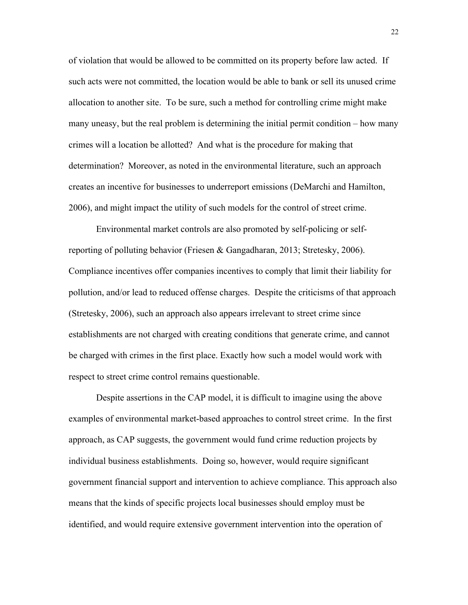of violation that would be allowed to be committed on its property before law acted. If such acts were not committed, the location would be able to bank or sell its unused crime allocation to another site. To be sure, such a method for controlling crime might make many uneasy, but the real problem is determining the initial permit condition – how many crimes will a location be allotted? And what is the procedure for making that determination? Moreover, as noted in the environmental literature, such an approach creates an incentive for businesses to underreport emissions (DeMarchi and Hamilton, 2006), and might impact the utility of such models for the control of street crime.

Environmental market controls are also promoted by self-policing or selfreporting of polluting behavior (Friesen & Gangadharan, 2013; Stretesky, 2006). Compliance incentives offer companies incentives to comply that limit their liability for pollution, and/or lead to reduced offense charges. Despite the criticisms of that approach (Stretesky, 2006), such an approach also appears irrelevant to street crime since establishments are not charged with creating conditions that generate crime, and cannot be charged with crimes in the first place. Exactly how such a model would work with respect to street crime control remains questionable.

Despite assertions in the CAP model, it is difficult to imagine using the above examples of environmental market-based approaches to control street crime. In the first approach, as CAP suggests, the government would fund crime reduction projects by individual business establishments. Doing so, however, would require significant government financial support and intervention to achieve compliance. This approach also means that the kinds of specific projects local businesses should employ must be identified, and would require extensive government intervention into the operation of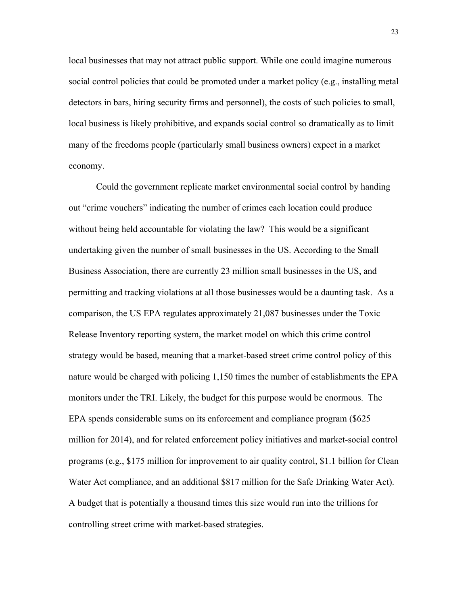local businesses that may not attract public support. While one could imagine numerous social control policies that could be promoted under a market policy (e.g., installing metal detectors in bars, hiring security firms and personnel), the costs of such policies to small, local business is likely prohibitive, and expands social control so dramatically as to limit many of the freedoms people (particularly small business owners) expect in a market economy.

Could the government replicate market environmental social control by handing out "crime vouchers" indicating the number of crimes each location could produce without being held accountable for violating the law? This would be a significant undertaking given the number of small businesses in the US. According to the Small Business Association, there are currently 23 million small businesses in the US, and permitting and tracking violations at all those businesses would be a daunting task. As a comparison, the US EPA regulates approximately 21,087 businesses under the Toxic Release Inventory reporting system, the market model on which this crime control strategy would be based, meaning that a market-based street crime control policy of this nature would be charged with policing 1,150 times the number of establishments the EPA monitors under the TRI. Likely, the budget for this purpose would be enormous. The EPA spends considerable sums on its enforcement and compliance program (\$625 million for 2014), and for related enforcement policy initiatives and market-social control programs (e.g., \$175 million for improvement to air quality control, \$1.1 billion for Clean Water Act compliance, and an additional \$817 million for the Safe Drinking Water Act). A budget that is potentially a thousand times this size would run into the trillions for controlling street crime with market-based strategies.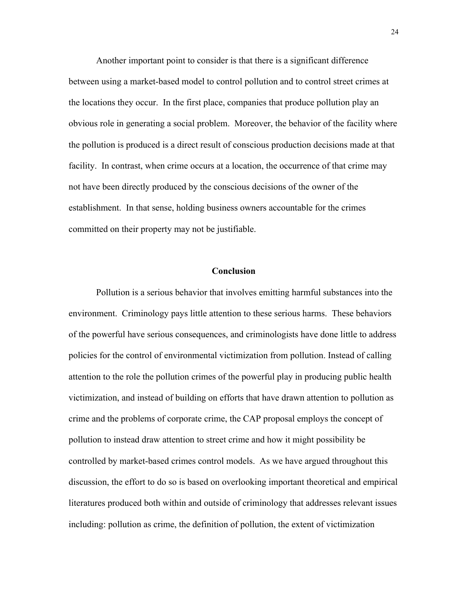Another important point to consider is that there is a significant difference between using a market-based model to control pollution and to control street crimes at the locations they occur. In the first place, companies that produce pollution play an obvious role in generating a social problem. Moreover, the behavior of the facility where the pollution is produced is a direct result of conscious production decisions made at that facility. In contrast, when crime occurs at a location, the occurrence of that crime may not have been directly produced by the conscious decisions of the owner of the establishment. In that sense, holding business owners accountable for the crimes committed on their property may not be justifiable.

#### **Conclusion**

Pollution is a serious behavior that involves emitting harmful substances into the environment. Criminology pays little attention to these serious harms. These behaviors of the powerful have serious consequences, and criminologists have done little to address policies for the control of environmental victimization from pollution. Instead of calling attention to the role the pollution crimes of the powerful play in producing public health victimization, and instead of building on efforts that have drawn attention to pollution as crime and the problems of corporate crime, the CAP proposal employs the concept of pollution to instead draw attention to street crime and how it might possibility be controlled by market-based crimes control models. As we have argued throughout this discussion, the effort to do so is based on overlooking important theoretical and empirical literatures produced both within and outside of criminology that addresses relevant issues including: pollution as crime, the definition of pollution, the extent of victimization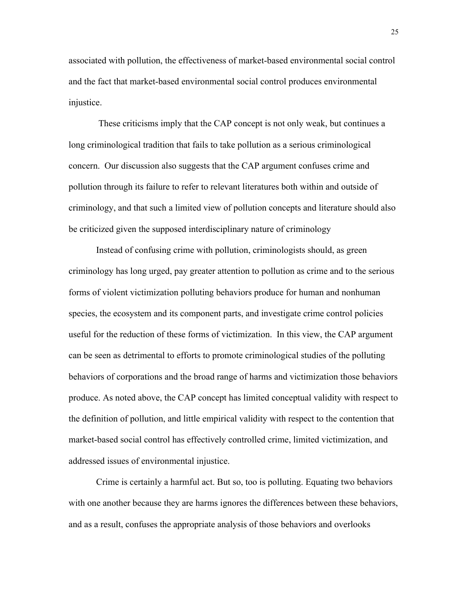associated with pollution, the effectiveness of market-based environmental social control and the fact that market-based environmental social control produces environmental injustice.

These criticisms imply that the CAP concept is not only weak, but continues a long criminological tradition that fails to take pollution as a serious criminological concern. Our discussion also suggests that the CAP argument confuses crime and pollution through its failure to refer to relevant literatures both within and outside of criminology, and that such a limited view of pollution concepts and literature should also be criticized given the supposed interdisciplinary nature of criminology

Instead of confusing crime with pollution, criminologists should, as green criminology has long urged, pay greater attention to pollution as crime and to the serious forms of violent victimization polluting behaviors produce for human and nonhuman species, the ecosystem and its component parts, and investigate crime control policies useful for the reduction of these forms of victimization. In this view, the CAP argument can be seen as detrimental to efforts to promote criminological studies of the polluting behaviors of corporations and the broad range of harms and victimization those behaviors produce. As noted above, the CAP concept has limited conceptual validity with respect to the definition of pollution, and little empirical validity with respect to the contention that market-based social control has effectively controlled crime, limited victimization, and addressed issues of environmental injustice.

Crime is certainly a harmful act. But so, too is polluting. Equating two behaviors with one another because they are harms ignores the differences between these behaviors, and as a result, confuses the appropriate analysis of those behaviors and overlooks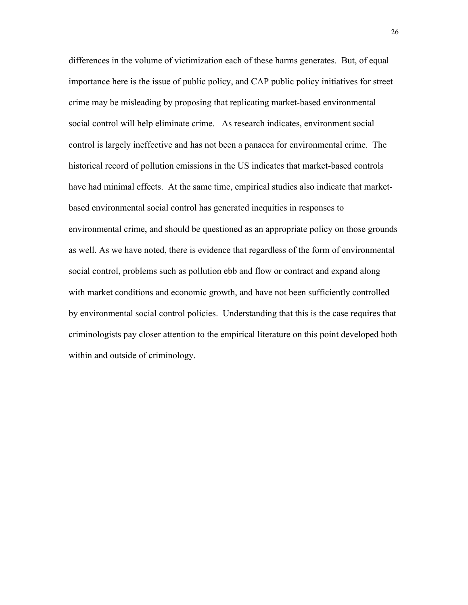differences in the volume of victimization each of these harms generates. But, of equal importance here is the issue of public policy, and CAP public policy initiatives for street crime may be misleading by proposing that replicating market-based environmental social control will help eliminate crime. As research indicates, environment social control is largely ineffective and has not been a panacea for environmental crime. The historical record of pollution emissions in the US indicates that market-based controls have had minimal effects. At the same time, empirical studies also indicate that marketbased environmental social control has generated inequities in responses to environmental crime, and should be questioned as an appropriate policy on those grounds as well. As we have noted, there is evidence that regardless of the form of environmental social control, problems such as pollution ebb and flow or contract and expand along with market conditions and economic growth, and have not been sufficiently controlled by environmental social control policies. Understanding that this is the case requires that criminologists pay closer attention to the empirical literature on this point developed both within and outside of criminology.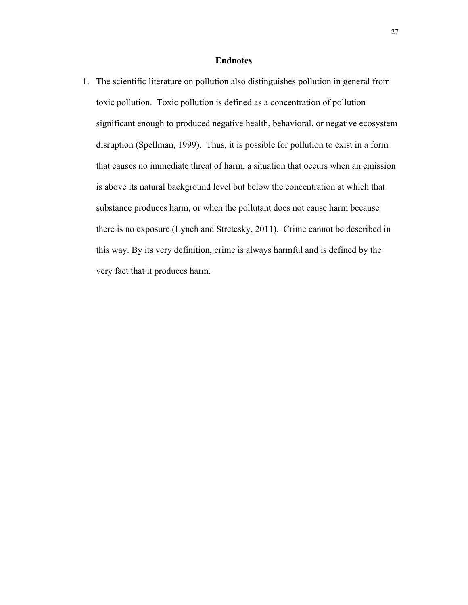#### **Endnotes**

1. The scientific literature on pollution also distinguishes pollution in general from toxic pollution. Toxic pollution is defined as a concentration of pollution significant enough to produced negative health, behavioral, or negative ecosystem disruption (Spellman, 1999). Thus, it is possible for pollution to exist in a form that causes no immediate threat of harm, a situation that occurs when an emission is above its natural background level but below the concentration at which that substance produces harm, or when the pollutant does not cause harm because there is no exposure (Lynch and Stretesky, 2011). Crime cannot be described in this way. By its very definition, crime is always harmful and is defined by the very fact that it produces harm.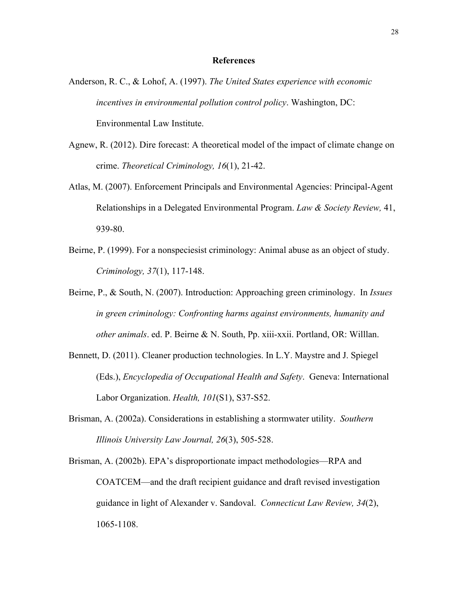#### **References**

- Anderson, R. C., & Lohof, A. (1997). *The United States experience with economic incentives in environmental pollution control policy*. Washington, DC: Environmental Law Institute.
- Agnew, R. (2012). Dire forecast: A theoretical model of the impact of climate change on crime. *Theoretical Criminology, 16*(1), 21-42.
- Atlas, M. (2007). Enforcement Principals and Environmental Agencies: Principal-Agent Relationships in a Delegated Environmental Program. *Law & Society Review,* 41, 939-80.
- Beirne, P. (1999). For a nonspeciesist criminology: Animal abuse as an object of study. *Criminology, 37*(1), 117-148.
- Beirne, P., & South, N. (2007). Introduction: Approaching green criminology. In *Issues in green criminology: Confronting harms against environments, humanity and other animals*. ed. P. Beirne & N. South, Pp. xiii-xxii. Portland, OR: Willlan.
- Bennett, D. (2011). Cleaner production technologies. In L.Y. Maystre and J. Spiegel (Eds.), *Encyclopedia of Occupational Health and Safety*. Geneva: International Labor Organization. *Health, 101*(S1), S37-S52.
- Brisman, A. (2002a). Considerations in establishing a stormwater utility. *Southern Illinois University Law Journal, 26*(3), 505-528.
- Brisman, A. (2002b). EPA's disproportionate impact methodologies—RPA and COATCEM—and the draft recipient guidance and draft revised investigation guidance in light of Alexander v. Sandoval. *Connecticut Law Review, 34*(2), 1065-1108.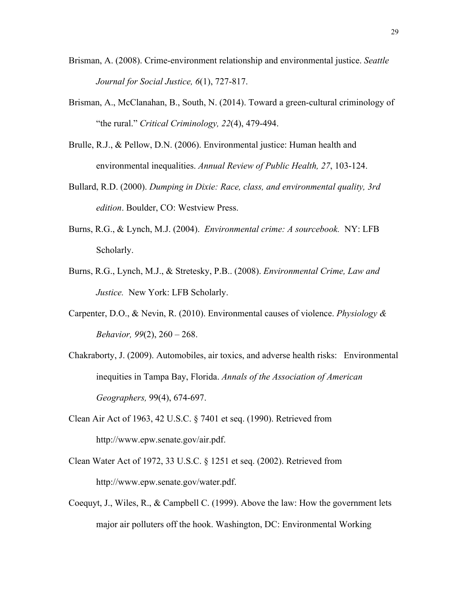- Brisman, A. (2008). Crime-environment relationship and environmental justice. *Seattle Journal for Social Justice, 6*(1), 727-817.
- Brisman, A., McClanahan, B., South, N. (2014). Toward a green-cultural criminology of "the rural." *Critical Criminology, 22*(4), 479-494.
- Brulle, R.J., & Pellow, D.N. (2006). Environmental justice: Human health and environmental inequalities. *Annual Review of Public Health, 27*, 103-124.
- Bullard, R.D. (2000). *Dumping in Dixie: Race, class, and environmental quality, 3rd edition*. Boulder, CO: Westview Press.
- Burns, R.G., & Lynch, M.J. (2004). *Environmental crime: A sourcebook.* NY: LFB Scholarly.
- Burns, R.G., Lynch, M.J., & Stretesky, P.B.. (2008). *Environmental Crime, Law and Justice.* New York: LFB Scholarly.
- Carpenter, D.O., & Nevin, R. (2010). Environmental causes of violence. *Physiology & Behavior, 99*(2), 260 – 268.
- Chakraborty, J. (2009). Automobiles, air toxics, and adverse health risks: Environmental inequities in Tampa Bay, Florida. *Annals of the Association of American Geographers,* 99(4), 674-697.
- Clean Air Act of 1963, 42 U.S.C. § 7401 et seq. (1990). Retrieved from http://www.epw.senate.gov/air.pdf.
- Clean Water Act of 1972, 33 U.S.C. § 1251 et seq. (2002). Retrieved from http://www.epw.senate.gov/water.pdf.
- Coequyt, J., Wiles, R., & Campbell C. (1999). Above the law: How the government lets major air polluters off the hook. Washington, DC: Environmental Working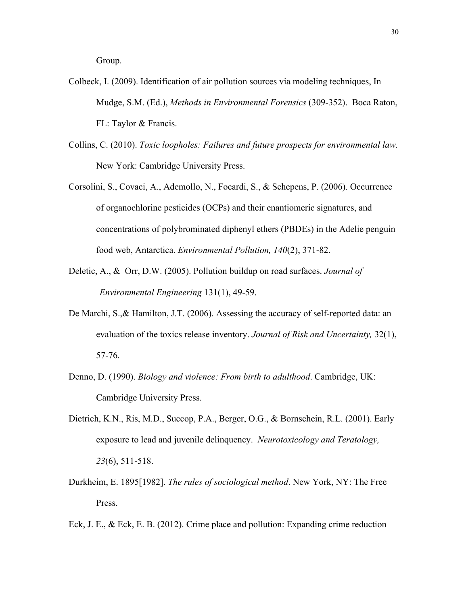Group.

- Colbeck, I. (2009). Identification of air pollution sources via modeling techniques, In Mudge, S.M. (Ed.), *Methods in Environmental Forensics* (309-352). Boca Raton, FL: Taylor & Francis.
- Collins, C. (2010). *Toxic loopholes: Failures and future prospects for environmental law.* New York: Cambridge University Press.
- Corsolini, S., Covaci, A., Ademollo, N., Focardi, S., & Schepens, P. (2006). Occurrence of organochlorine pesticides (OCPs) and their enantiomeric signatures, and concentrations of polybrominated diphenyl ethers (PBDEs) in the Adelie penguin food web, Antarctica. *Environmental Pollution, 140*(2), 371-82.
- Deletic, A., & Orr, D.W. (2005). Pollution buildup on road surfaces. *Journal of Environmental Engineering* 131(1), 49-59.
- De Marchi, S.,& Hamilton, J.T. (2006). Assessing the accuracy of self-reported data: an evaluation of the toxics release inventory. *Journal of Risk and Uncertainty,* 32(1), 57-76.
- Denno, D. (1990). *Biology and violence: From birth to adulthood*. Cambridge, UK: Cambridge University Press.
- Dietrich, K.N., Ris, M.D., Succop, P.A., Berger, O.G., & Bornschein, R.L. (2001). Early exposure to lead and juvenile delinquency. *Neurotoxicology and Teratology, 23*(6), 511-518.
- Durkheim, E. 1895[1982]. *The rules of sociological method*. New York, NY: The Free Press.

Eck, J. E., & Eck, E. B. (2012). Crime place and pollution: Expanding crime reduction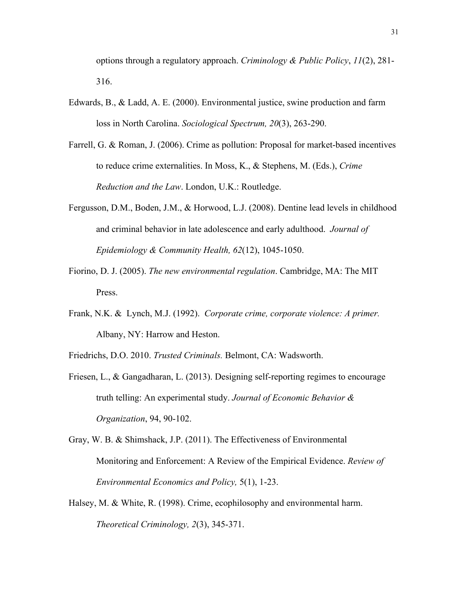options through a regulatory approach. *Criminology & Public Policy*, *11*(2), 281- 316.

- Edwards, B., & Ladd, A. E. (2000). Environmental justice, swine production and farm loss in North Carolina. *Sociological Spectrum, 20*(3), 263-290.
- Farrell, G. & Roman, J. (2006). Crime as pollution: Proposal for market-based incentives to reduce crime externalities. In Moss, K., & Stephens, M. (Eds.), *Crime Reduction and the Law*. London, U.K.: Routledge.
- Fergusson, D.M., Boden, J.M., & Horwood, L.J. (2008). Dentine lead levels in childhood and criminal behavior in late adolescence and early adulthood. *Journal of Epidemiology & Community Health, 62*(12), 1045-1050.
- Fiorino, D. J. (2005). *The new environmental regulation*. Cambridge, MA: The MIT Press.
- Frank, N.K. & Lynch, M.J. (1992). *Corporate crime, corporate violence: A primer.* Albany, NY: Harrow and Heston.
- Friedrichs, D.O. 2010. *Trusted Criminals.* Belmont, CA: Wadsworth.
- Friesen, L., & Gangadharan, L. (2013). Designing self-reporting regimes to encourage truth telling: An experimental study. *Journal of Economic Behavior & Organization*, 94, 90-102.
- Gray, W. B. & Shimshack, J.P. (2011). The Effectiveness of Environmental Monitoring and Enforcement: A Review of the Empirical Evidence. *Review of Environmental Economics and Policy,* 5(1), 1-23.
- Halsey, M. & White, R. (1998). Crime, ecophilosophy and environmental harm. *Theoretical Criminology, 2*(3), 345-371.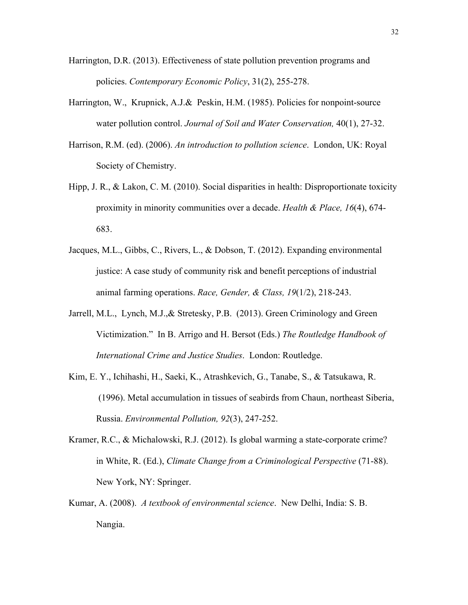- Harrington, D.R. (2013). Effectiveness of state pollution prevention programs and policies. *Contemporary Economic Policy*, 31(2), 255-278.
- Harrington, W., Krupnick, A.J.& Peskin, H.M. (1985). Policies for nonpoint-source water pollution control. *Journal of Soil and Water Conservation,* 40(1), 27-32.
- Harrison, R.M. (ed). (2006). *An introduction to pollution science*. London, UK: Royal Society of Chemistry.
- Hipp, J. R., & Lakon, C. M. (2010). Social disparities in health: Disproportionate toxicity proximity in minority communities over a decade. *Health & Place, 16*(4), 674- 683.
- Jacques, M.L., Gibbs, C., Rivers, L., & Dobson, T. (2012). Expanding environmental justice: A case study of community risk and benefit perceptions of industrial animal farming operations. *Race, Gender, & Class, 19*(1/2), 218-243.
- Jarrell, M.L., Lynch, M.J.,& Stretesky, P.B. (2013). Green Criminology and Green Victimization." In B. Arrigo and H. Bersot (Eds.) *The Routledge Handbook of International Crime and Justice Studies*. London: Routledge.
- Kim, E. Y., Ichihashi, H., Saeki, K., Atrashkevich, G., Tanabe, S., & Tatsukawa, R. (1996). Metal accumulation in tissues of seabirds from Chaun, northeast Siberia, Russia. *Environmental Pollution, 92*(3), 247-252.
- Kramer, R.C., & Michalowski, R.J. (2012). Is global warming a state-corporate crime? in White, R. (Ed.), *Climate Change from a Criminological Perspective* (71-88). New York, NY: Springer.
- Kumar, A. (2008). *A textbook of environmental science*. New Delhi, India: S. B. Nangia.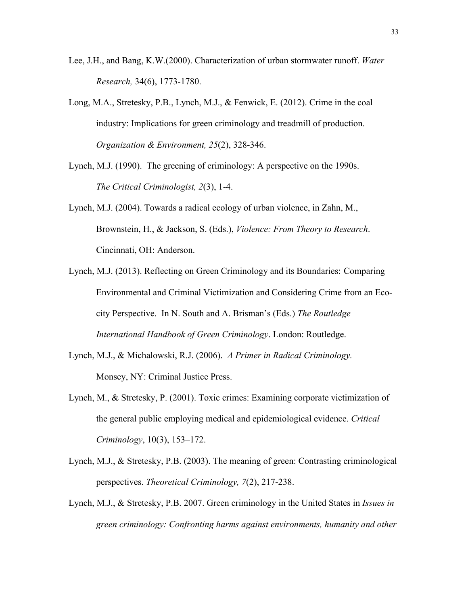- Lee, J.H., and Bang, K.W.(2000). Characterization of urban stormwater runoff. *Water Research,* 34(6), 1773-1780.
- Long, M.A., Stretesky, P.B., Lynch, M.J., & Fenwick, E. (2012). Crime in the coal industry: Implications for green criminology and treadmill of production. *Organization & Environment, 25*(2), 328-346.
- Lynch, M.J. (1990). The greening of criminology: A perspective on the 1990s. *The Critical Criminologist, 2*(3), 1-4.
- Lynch, M.J. (2004). Towards a radical ecology of urban violence, in Zahn, M., Brownstein, H., & Jackson, S. (Eds.), *Violence: From Theory to Research*. Cincinnati, OH: Anderson.
- Lynch, M.J. (2013). Reflecting on Green Criminology and its Boundaries: Comparing Environmental and Criminal Victimization and Considering Crime from an Ecocity Perspective. In N. South and A. Brisman's (Eds.) *The Routledge International Handbook of Green Criminology*. London: Routledge.
- Lynch, M.J., & Michalowski, R.J. (2006). *A Primer in Radical Criminology.* Monsey, NY: Criminal Justice Press.
- Lynch, M., & Stretesky, P. (2001). Toxic crimes: Examining corporate victimization of the general public employing medical and epidemiological evidence. *Critical Criminology*, 10(3), 153–172.
- Lynch, M.J., & Stretesky, P.B. (2003). The meaning of green: Contrasting criminological perspectives. *Theoretical Criminology, 7*(2), 217-238.
- Lynch, M.J., & Stretesky, P.B. 2007. Green criminology in the United States in *Issues in green criminology: Confronting harms against environments, humanity and other*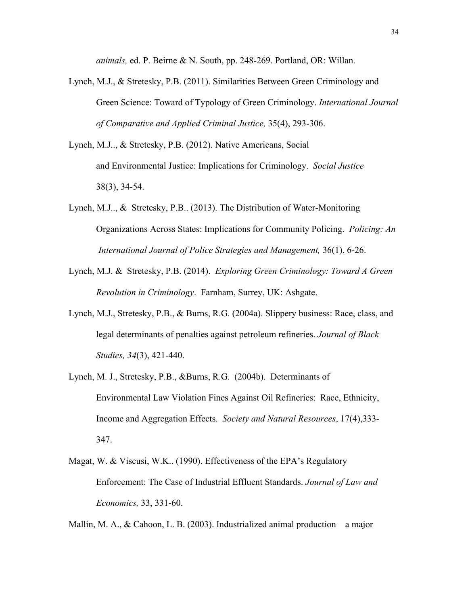*animals,* ed. P. Beirne & N. South, pp. 248-269. Portland, OR: Willan.

- Lynch, M.J., & Stretesky, P.B. (2011). Similarities Between Green Criminology and Green Science: Toward of Typology of Green Criminology. *International Journal of Comparative and Applied Criminal Justice,* 35(4), 293-306.
- Lynch, M.J.., & Stretesky, P.B. (2012). Native Americans, Social and Environmental Justice: Implications for Criminology. *Social Justice* 38(3), 34-54.
- Lynch, M.J.., & Stretesky, P.B.. (2013). The Distribution of Water-Monitoring Organizations Across States: Implications for Community Policing. *Policing: An International Journal of Police Strategies and Management,* 36(1), 6-26.
- Lynch, M.J. & Stretesky, P.B. (2014). *Exploring Green Criminology: Toward A Green Revolution in Criminology*. Farnham, Surrey, UK: Ashgate.
- Lynch, M.J., Stretesky, P.B., & Burns, R.G. (2004a). Slippery business: Race, class, and legal determinants of penalties against petroleum refineries. *Journal of Black Studies, 34*(3), 421-440.
- Lynch, M. J., Stretesky, P.B., &Burns, R.G. (2004b). Determinants of Environmental Law Violation Fines Against Oil Refineries: Race, Ethnicity, Income and Aggregation Effects. *Society and Natural Resources*, 17(4),333- 347.
- Magat, W. & Viscusi, W.K.. (1990). Effectiveness of the EPA's Regulatory Enforcement: The Case of Industrial Effluent Standards. *Journal of Law and Economics,* 33, 331-60.

Mallin, M. A., & Cahoon, L. B. (2003). Industrialized animal production—a major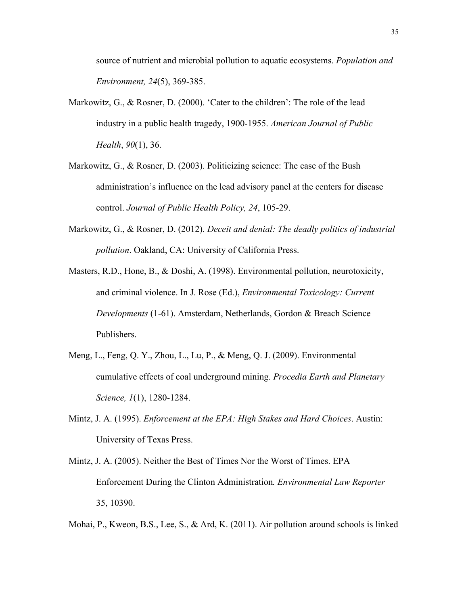source of nutrient and microbial pollution to aquatic ecosystems. *Population and Environment, 24*(5), 369-385.

- Markowitz, G., & Rosner, D. (2000). 'Cater to the children': The role of the lead industry in a public health tragedy, 1900-1955. *American Journal of Public Health*, *90*(1), 36.
- Markowitz, G., & Rosner, D. (2003). Politicizing science: The case of the Bush administration's influence on the lead advisory panel at the centers for disease control. *Journal of Public Health Policy, 24*, 105-29.
- Markowitz, G., & Rosner, D. (2012). *Deceit and denial: The deadly politics of industrial pollution*. Oakland, CA: University of California Press.
- Masters, R.D., Hone, B., & Doshi, A. (1998). Environmental pollution, neurotoxicity, and criminal violence. In J. Rose (Ed.), *Environmental Toxicology: Current Developments* (1-61). Amsterdam, Netherlands, Gordon & Breach Science Publishers.
- Meng, L., Feng, Q. Y., Zhou, L., Lu, P., & Meng, Q. J. (2009). Environmental cumulative effects of coal underground mining. *Procedia Earth and Planetary Science, 1*(1), 1280-1284.
- Mintz, J. A. (1995). *Enforcement at the EPA: High Stakes and Hard Choices*. Austin: University of Texas Press.
- Mintz, J. A. (2005). Neither the Best of Times Nor the Worst of Times. EPA Enforcement During the Clinton Administration*. Environmental Law Reporter* 35, 10390.
- Mohai, P., Kweon, B.S., Lee, S., & Ard, K. (2011). Air pollution around schools is linked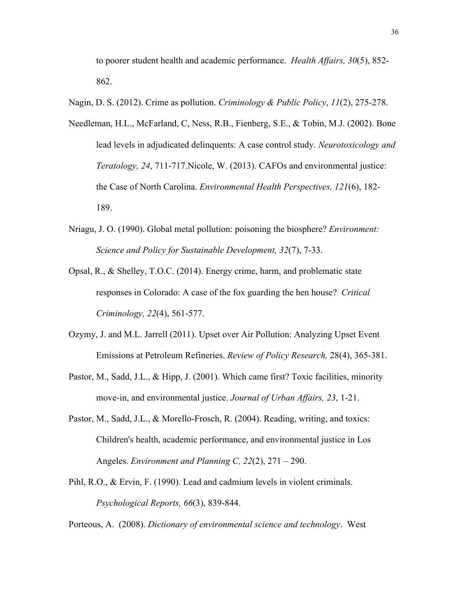to poorer student health and academic performance. *Health Affairs, 30*(5), 852- 862.

Nagin, D. S. (2012). Crime as pollution. *Criminology & Public Policy*, *11*(2), 275-278.

- Needleman, H.L., McFarland, C, Ness, R.B., Fienberg, S.E., & Tobin, M.J. (2002). Bone lead levels in adjudicated delinquents: A case control study. *Neurotoxicology and Teratology, 24*, 711-717.Nicole, W. (2013). CAFOs and environmental justice: the Case of North Carolina. *Environmental Health Perspectives, 121*(6), 182- 189.
- Nriagu, J. O. (1990). Global metal pollution: poisoning the biosphere? *Environment: Science and Policy for Sustainable Development, 32*(7), 7-33.
- Opsal, R., & Shelley, T.O.C. (2014). Energy crime, harm, and problematic state responses in Colorado: A case of the fox guarding the hen house? *Critical Criminology, 22*(4), 561-577.
- Ozymy, J. and M.L. Jarrell (2011). Upset over Air Pollution: Analyzing Upset Event Emissions at Petroleum Refineries. *Review of Policy Research,* 28(4), 365-381.
- Pastor, M., Sadd, J.L., & Hipp, J. (2001). Which came first? Toxic facilities, minority move-in, and environmental justice. *Journal of Urban Affairs, 23*, 1-21.
- Pastor, M., Sadd, J.L., & Morello-Frosch, R. (2004). Reading, writing, and toxics: Children's health, academic performance, and environmental justice in Los Angeles. *Environment and Planning C, 22*(2), 271 – 290.
- Pihl, R.O., & Ervin, F. (1990). Lead and cadmium levels in violent criminals. *Psychological Reports, 66*(3), 839-844.

Porteous, A. (2008). *Dictionary of environmental science and technology*. West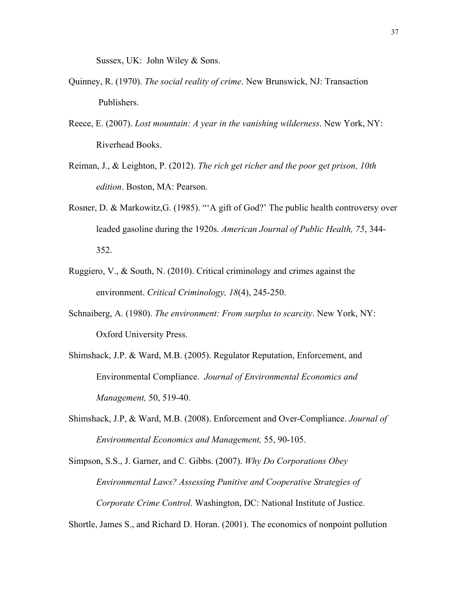Sussex, UK: John Wiley & Sons.

- Quinney, R. (1970). *The social reality of crime*. New Brunswick, NJ: Transaction Publishers.
- Reece, E. (2007). *Lost mountain: A year in the vanishing wilderness*. New York, NY: Riverhead Books.
- Reiman, J., & Leighton, P. (2012). *The rich get richer and the poor get prison, 10th edition*. Boston, MA: Pearson.
- Rosner, D. & Markowitz,G. (1985). "'A gift of God?' The public health controversy over leaded gasoline during the 1920s. *American Journal of Public Health, 75*, 344- 352.
- Ruggiero, V.,  $\&$  South, N. (2010). Critical criminology and crimes against the environment. *Critical Criminology, 18*(4), 245-250.
- Schnaiberg, A. (1980). *The environment: From surplus to scarcity*. New York, NY: Oxford University Press.
- Shimshack, J.P. & Ward, M.B. (2005). Regulator Reputation, Enforcement, and Environmental Compliance. *Journal of Environmental Economics and Management,* 50, 519-40.
- Shimshack, J.P, & Ward, M.B. (2008). Enforcement and Over-Compliance. *Journal of Environmental Economics and Management,* 55, 90-105.

Simpson, S.S., J. Garner, and C. Gibbs. (2007). *Why Do Corporations Obey Environmental Laws? Assessing Punitive and Cooperative Strategies of Corporate Crime Control.* Washington, DC: National Institute of Justice.

Shortle, James S., and Richard D. Horan. (2001). The economics of nonpoint pollution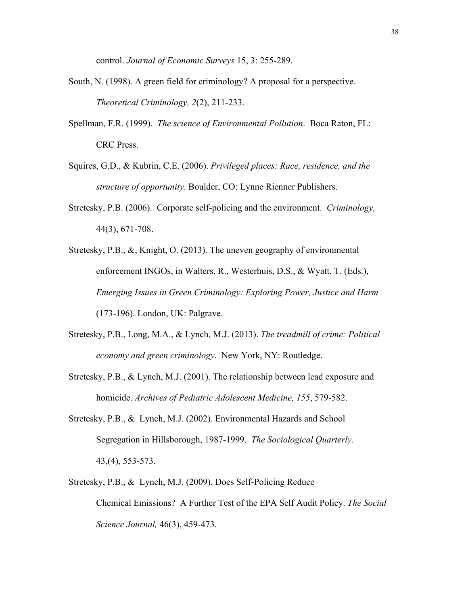control. *Journal of Economic Surveys* 15, 3: 255-289.

- South, N. (1998). A green field for criminology? A proposal for a perspective. *Theoretical Criminology, 2*(2), 211-233.
- Spellman, F.R. (1999). *The science of Environmental Pollution*. Boca Raton, FL: CRC Press.
- Squires, G.D., & Kubrin, C.E. (2006). *Privileged places: Race, residence, and the structure of opportunity*. Boulder, CO: Lynne Rienner Publishers.
- Stretesky, P.B. (2006). Corporate self-policing and the environment. *Criminology,* 44(3), 671-708.
- Stretesky, P.B., &, Knight, O. (2013). The uneven geography of environmental enforcement INGOs, in Walters, R., Westerhuis, D.S., & Wyatt, T. (Eds.), *Emerging Issues in Green Criminology: Exploring Power, Justice and Harm* (173-196). London, UK: Palgrave.
- Stretesky, P.B., Long, M.A., & Lynch, M.J. (2013). *The treadmill of crime: Political economy and green criminology*. New York, NY: Routledge.
- Stretesky, P.B., & Lynch, M.J. (2001). The relationship between lead exposure and homicide. *Archives of Pediatric Adolescent Medicine, 155*, 579-582.
- Stretesky, P.B., & Lynch, M.J. (2002). Environmental Hazards and School Segregation in Hillsborough, 1987-1999. *The Sociological Quarterly*. 43,(4), 553-573.
- Stretesky, P.B., & Lynch, M.J. (2009). Does Self-Policing Reduce Chemical Emissions? A Further Test of the EPA Self Audit Policy. *The Social Science Journal,* 46(3), 459-473.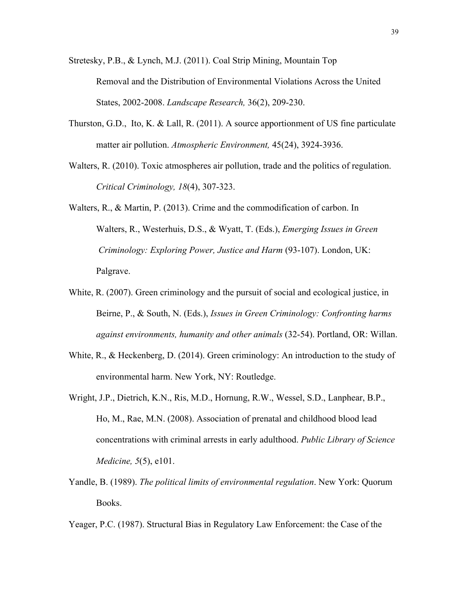- Stretesky, P.B., & Lynch, M.J. (2011). Coal Strip Mining, Mountain Top Removal and the Distribution of Environmental Violations Across the United States, 2002-2008. *Landscape Research,* 36(2), 209-230.
- Thurston, G.D., Ito, K. & Lall, R. (2011). A source apportionment of US fine particulate matter air pollution. *Atmospheric Environment,* 45(24), 3924-3936.
- Walters, R. (2010). Toxic atmospheres air pollution, trade and the politics of regulation. *Critical Criminology, 18*(4), 307-323.
- Walters, R., & Martin, P. (2013). Crime and the commodification of carbon. In Walters, R., Westerhuis, D.S., & Wyatt, T. (Eds.), *Emerging Issues in Green Criminology: Exploring Power, Justice and Harm* (93-107). London, UK: Palgrave.
- White, R. (2007). Green criminology and the pursuit of social and ecological justice, in Beirne, P., & South, N. (Eds.), *Issues in Green Criminology: Confronting harms against environments, humanity and other animals* (32-54). Portland, OR: Willan.
- White, R., & Heckenberg, D. (2014). Green criminology: An introduction to the study of environmental harm. New York, NY: Routledge.
- Wright, J.P., Dietrich, K.N., Ris, M.D., Hornung, R.W., Wessel, S.D., Lanphear, B.P., Ho, M., Rae, M.N. (2008). Association of prenatal and childhood blood lead concentrations with criminal arrests in early adulthood. *Public Library of Science Medicine, 5*(5), e101.
- Yandle, B. (1989). *The political limits of environmental regulation*. New York: Quorum Books.

Yeager, P.C. (1987). Structural Bias in Regulatory Law Enforcement: the Case of the